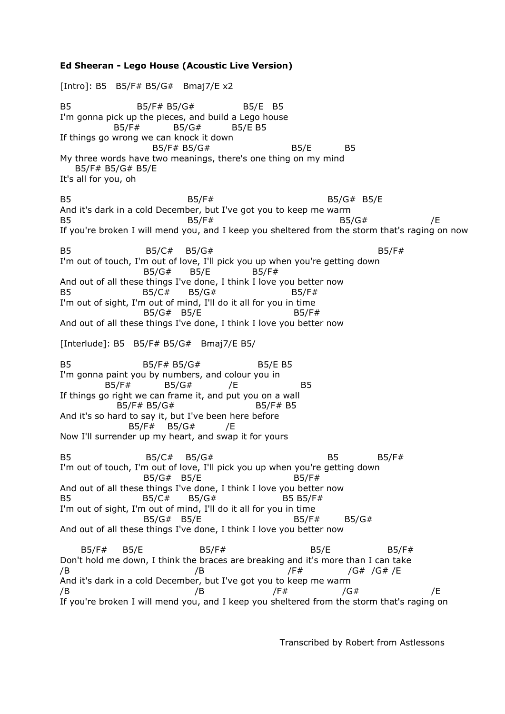**Ed Sheeran - Lego House (Acoustic Live Version)** [Intro]: B5 B5/F# B5/G# Bmaj7/E x2 B5 B5/F# B5/G# B5/E B5 I'm gonna pick up the pieces, and build a Lego house B5/F# B5/G# B5/E B5 If things go wrong we can knock it down B5/F# B5/G# B5/E B5 My three words have two meanings, there's one thing on my mind B5/F# B5/G# B5/E It's all for you, oh B5 B5/F# B5/G# B5/E B5/F# B5/G# B5/G# B5/E And it's dark in a cold December, but I've got you to keep me warm B5 B5/G#  $B5/F$ #  $B5/G$ #  $B5/G$ #  $F$ If you're broken I will mend you, and I keep you sheltered from the storm that's raging on now B5 b5/C#  $B5/G#$  b5/G# I'm out of touch, I'm out of love, I'll pick you up when you're getting down B5/G# B5/E B5/F# And out of all these things I've done, I think I love you better now B5 B5/C# B5/G# B5/F# I'm out of sight, I'm out of mind, I'll do it all for you in time B5/G# B5/E B5/F# And out of all these things I've done, I think I love you better now [Interlude]: B5 B5/F# B5/G# Bmaj7/E B5/ B5 B5/F# B5/G# B5/E B5 I'm gonna paint you by numbers, and colour you in B5/F# B5/G# /E B5 If things go right we can frame it, and put you on a wall B5/F# B5/G# B5/F# B5 And it's so hard to say it, but I've been here before B5/F# B5/G# /E Now I'll surrender up my heart, and swap it for yours B5 B5/C# B5/G# B5/G# B5 B5/F# I'm out of touch, I'm out of love, I'll pick you up when you're getting down  $B5/G# B5/E$  B5/F# And out of all these things I've done, I think I love you better now B5 B5/C# B5/G# B5 B5/F# I'm out of sight, I'm out of mind, I'll do it all for you in time B5/G# B5/E B5/F# B5/G# And out of all these things I've done, I think I love you better now B5/F# B5/E B5/F# B5/E B5/F# Don't hold me down, I think the braces are breaking and it's more than I can take /B /B /F# /G# /G# /E And it's dark in a cold December, but I've got you to keep me warm /B /B /F# /G# /E If you're broken I will mend you, and I keep you sheltered from the storm that's raging on

Transcribed by Robert from Astlessons